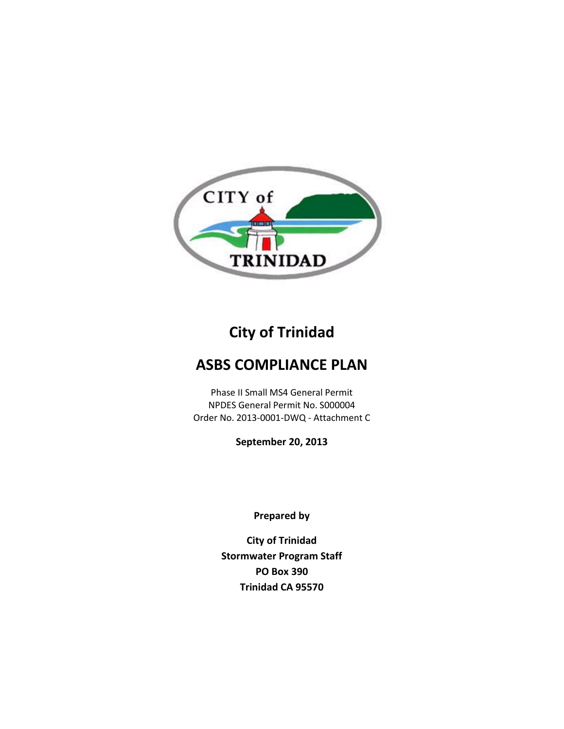

# **City of Trinidad**

## **ASBS COMPLIANCE PLAN**

Phase II Small MS4 General Permit NPDES General Permit No. S000004 Order No. 2013-0001-DWQ - Attachment C

**September 20, 2013**

**Prepared by**

**City of Trinidad Stormwater Program Staff PO Box 390 Trinidad CA 95570**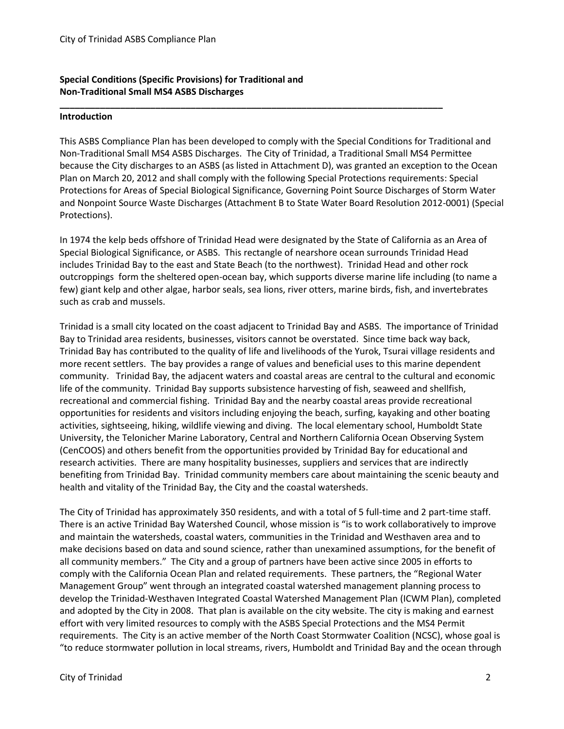## **Special Conditions (Specific Provisions) for Traditional and Non-Traditional Small MS4 ASBS Discharges**

#### **Introduction**

This ASBS Compliance Plan has been developed to comply with the Special Conditions for Traditional and Non-Traditional Small MS4 ASBS Discharges. The City of Trinidad, a Traditional Small MS4 Permittee because the City discharges to an ASBS (as listed in Attachment D), was granted an exception to the Ocean Plan on March 20, 2012 and shall comply with the following Special Protections requirements: Special Protections for Areas of Special Biological Significance, Governing Point Source Discharges of Storm Water and Nonpoint Source Waste Discharges (Attachment B to State Water Board Resolution 2012-0001) (Special Protections).

**\_\_\_\_\_\_\_\_\_\_\_\_\_\_\_\_\_\_\_\_\_\_\_\_\_\_\_\_\_\_\_\_\_\_\_\_\_\_\_\_\_\_\_\_\_\_\_\_\_\_\_\_\_\_\_\_\_\_\_\_\_\_\_\_\_\_\_\_\_\_\_\_\_\_\_\_** 

In 1974 the kelp beds offshore of Trinidad Head were designated by the State of California as an Area of Special Biological Significance, or ASBS. This rectangle of nearshore ocean surrounds Trinidad Head includes Trinidad Bay to the east and State Beach (to the northwest). Trinidad Head and other rock outcroppings form the sheltered open-ocean bay, which supports diverse marine life including (to name a few) giant kelp and other algae, harbor seals, sea lions, river otters, marine birds, fish, and invertebrates such as crab and mussels.

Trinidad is a small city located on the coast adjacent to Trinidad Bay and ASBS. The importance of Trinidad Bay to Trinidad area residents, businesses, visitors cannot be overstated. Since time back way back, Trinidad Bay has contributed to the quality of life and livelihoods of the Yurok, Tsurai village residents and more recent settlers. The bay provides a range of values and beneficial uses to this marine dependent community. Trinidad Bay, the adjacent waters and coastal areas are central to the cultural and economic life of the community. Trinidad Bay supports subsistence harvesting of fish, seaweed and shellfish, recreational and commercial fishing. Trinidad Bay and the nearby coastal areas provide recreational opportunities for residents and visitors including enjoying the beach, surfing, kayaking and other boating activities, sightseeing, hiking, wildlife viewing and diving. The local elementary school, Humboldt State University, the Telonicher Marine Laboratory, Central and Northern California Ocean Observing System (CenCOOS) and others benefit from the opportunities provided by Trinidad Bay for educational and research activities. There are many hospitality businesses, suppliers and services that are indirectly benefiting from Trinidad Bay. Trinidad community members care about maintaining the scenic beauty and health and vitality of the Trinidad Bay, the City and the coastal watersheds.

The City of Trinidad has approximately 350 residents, and with a total of 5 full-time and 2 part-time staff. There is an active Trinidad Bay Watershed Council, whose mission is "is to work collaboratively to improve and maintain the watersheds, coastal waters, communities in the Trinidad and Westhaven area and to make decisions based on data and sound science, rather than unexamined assumptions, for the benefit of all community members." The City and a group of partners have been active since 2005 in efforts to comply with the California Ocean Plan and related requirements. These partners, the "Regional Water Management Group" went through an integrated coastal watershed management planning process to develop the Trinidad-Westhaven Integrated Coastal Watershed Management Plan (ICWM Plan), completed and adopted by the City in 2008. That plan is available on the city website. The city is making and earnest effort with very limited resources to comply with the ASBS Special Protections and the MS4 Permit requirements. The City is an active member of the North Coast Stormwater Coalition (NCSC), whose goal is "to reduce stormwater pollution in local streams, rivers, Humboldt and Trinidad Bay and the ocean through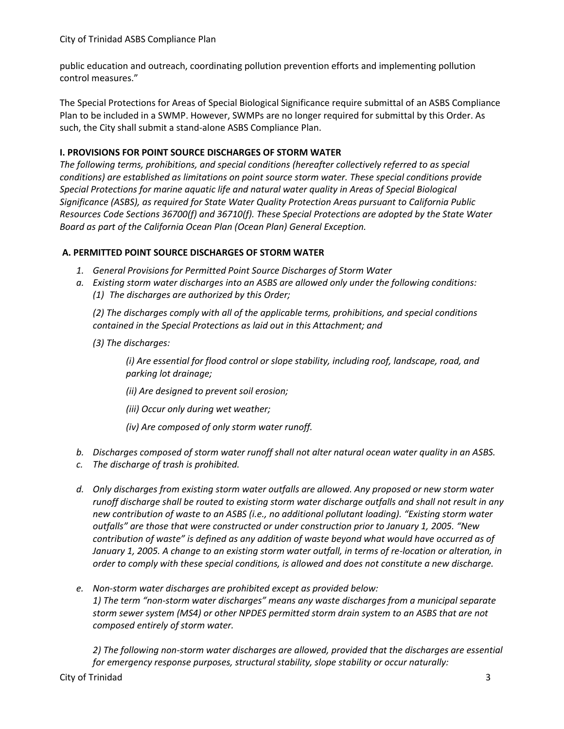public education and outreach, coordinating pollution prevention efforts and implementing pollution control measures."

The Special Protections for Areas of Special Biological Significance require submittal of an ASBS Compliance Plan to be included in a SWMP. However, SWMPs are no longer required for submittal by this Order. As such, the City shall submit a stand-alone ASBS Compliance Plan.

## **I. PROVISIONS FOR POINT SOURCE DISCHARGES OF STORM WATER**

*The following terms, prohibitions, and special conditions (hereafter collectively referred to as special conditions) are established as limitations on point source storm water. These special conditions provide Special Protections for marine aquatic life and natural water quality in Areas of Special Biological Significance (ASBS), as required for State Water Quality Protection Areas pursuant to California Public Resources Code Sections 36700(f) and 36710(f). These Special Protections are adopted by the State Water Board as part of the California Ocean Plan (Ocean Plan) General Exception.*

## **A. PERMITTED POINT SOURCE DISCHARGES OF STORM WATER**

- *1. General Provisions for Permitted Point Source Discharges of Storm Water*
- *a. Existing storm water discharges into an ASBS are allowed only under the following conditions: (1) The discharges are authorized by this Order;*

*(2) The discharges comply with all of the applicable terms, prohibitions, and special conditions contained in the Special Protections as laid out in this Attachment; and* 

*(3) The discharges:* 

*(i) Are essential for flood control or slope stability, including roof, landscape, road, and parking lot drainage;* 

- *(ii) Are designed to prevent soil erosion;*
- *(iii) Occur only during wet weather;*
- *(iv) Are composed of only storm water runoff.*
- *b. Discharges composed of storm water runoff shall not alter natural ocean water quality in an ASBS.*
- *c. The discharge of trash is prohibited.*
- *d. Only discharges from existing storm water outfalls are allowed. Any proposed or new storm water runoff discharge shall be routed to existing storm water discharge outfalls and shall not result in any new contribution of waste to an ASBS (i.e., no additional pollutant loading). "Existing storm water outfalls" are those that were constructed or under construction prior to January 1, 2005. "New contribution of waste" is defined as any addition of waste beyond what would have occurred as of January 1, 2005. A change to an existing storm water outfall, in terms of re-location or alteration, in order to comply with these special conditions, is allowed and does not constitute a new discharge.*
- *e. Non-storm water discharges are prohibited except as provided below: 1) The term "non-storm water discharges" means any waste discharges from a municipal separate storm sewer system (MS4) or other NPDES permitted storm drain system to an ASBS that are not composed entirely of storm water.*

*2) The following non-storm water discharges are allowed, provided that the discharges are essential for emergency response purposes, structural stability, slope stability or occur naturally:*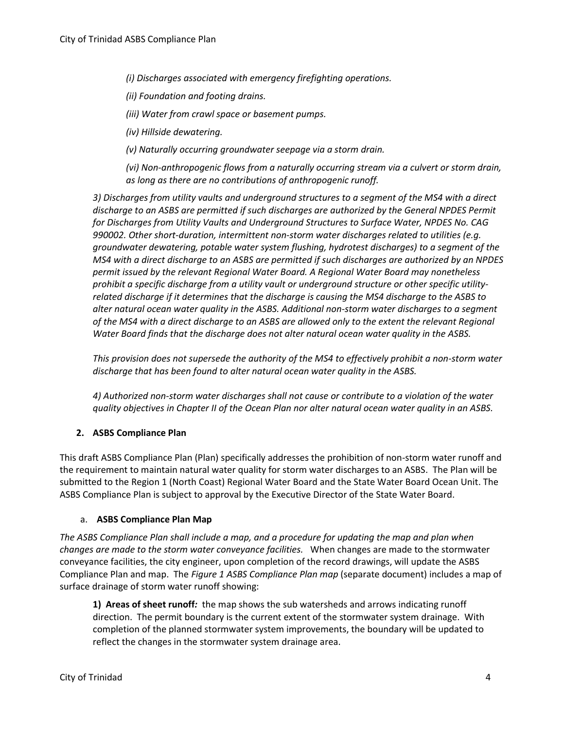*(i) Discharges associated with emergency firefighting operations.* 

*(ii) Foundation and footing drains.* 

*(iii) Water from crawl space or basement pumps.* 

*(iv) Hillside dewatering.* 

*(v) Naturally occurring groundwater seepage via a storm drain.* 

*(vi) Non-anthropogenic flows from a naturally occurring stream via a culvert or storm drain, as long as there are no contributions of anthropogenic runoff.* 

*3) Discharges from utility vaults and underground structures to a segment of the MS4 with a direct discharge to an ASBS are permitted if such discharges are authorized by the General NPDES Permit for Discharges from Utility Vaults and Underground Structures to Surface Water, NPDES No. CAG 990002. Other short-duration, intermittent non-storm water discharges related to utilities (e.g. groundwater dewatering, potable water system flushing, hydrotest discharges) to a segment of the MS4 with a direct discharge to an ASBS are permitted if such discharges are authorized by an NPDES permit issued by the relevant Regional Water Board. A Regional Water Board may nonetheless prohibit a specific discharge from a utility vault or underground structure or other specific utilityrelated discharge if it determines that the discharge is causing the MS4 discharge to the ASBS to alter natural ocean water quality in the ASBS. Additional non-storm water discharges to a segment of the MS4 with a direct discharge to an ASBS are allowed only to the extent the relevant Regional Water Board finds that the discharge does not alter natural ocean water quality in the ASBS.* 

*This provision does not supersede the authority of the MS4 to effectively prohibit a non-storm water discharge that has been found to alter natural ocean water quality in the ASBS.* 

*4) Authorized non-storm water discharges shall not cause or contribute to a violation of the water quality objectives in Chapter II of the Ocean Plan nor alter natural ocean water quality in an ASBS.* 

## **2. ASBS Compliance Plan**

This draft ASBS Compliance Plan (Plan) specifically addresses the prohibition of non-storm water runoff and the requirement to maintain natural water quality for storm water discharges to an ASBS. The Plan will be submitted to the Region 1 (North Coast) Regional Water Board and the State Water Board Ocean Unit. The ASBS Compliance Plan is subject to approval by the Executive Director of the State Water Board.

#### a. **ASBS Compliance Plan Map**

*The ASBS Compliance Plan shall include a map, and a procedure for updating the map and plan when changes are made to the storm water conveyance facilities.* When changes are made to the stormwater conveyance facilities, the city engineer, upon completion of the record drawings, will update the ASBS Compliance Plan and map. The *Figure 1 ASBS Compliance Plan map* (separate document) includes a map of surface drainage of storm water runoff showing:

**1) Areas of sheet runoff***:* the map shows the sub watersheds and arrows indicating runoff direction. The permit boundary is the current extent of the stormwater system drainage. With completion of the planned stormwater system improvements, the boundary will be updated to reflect the changes in the stormwater system drainage area.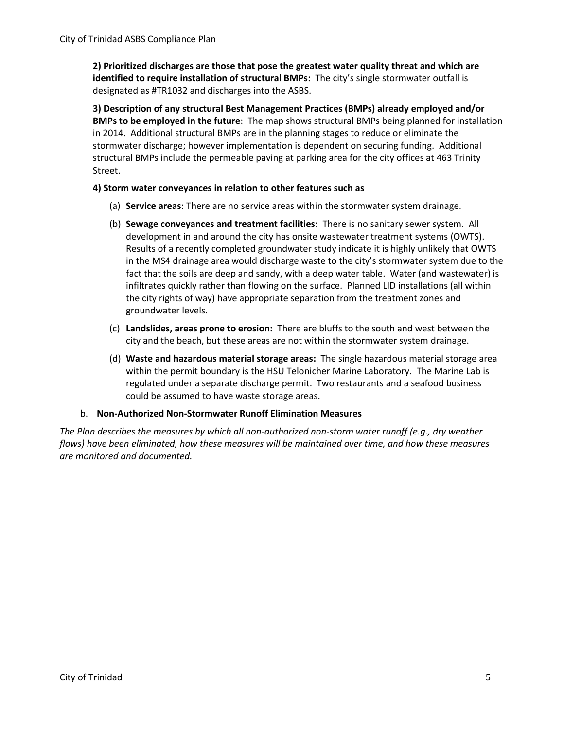**2) Prioritized discharges are those that pose the greatest water quality threat and which are identified to require installation of structural BMPs:** The city's single stormwater outfall is designated as #TR1032 and discharges into the ASBS.

**3) Description of any structural Best Management Practices (BMPs) already employed and/or BMPs to be employed in the future**: The map shows structural BMPs being planned for installation in 2014. Additional structural BMPs are in the planning stages to reduce or eliminate the stormwater discharge; however implementation is dependent on securing funding. Additional structural BMPs include the permeable paving at parking area for the city offices at 463 Trinity Street.

## **4) Storm water conveyances in relation to other features such as**

- (a) **Service areas**: There are no service areas within the stormwater system drainage.
- (b) **Sewage conveyances and treatment facilities:** There is no sanitary sewer system. All development in and around the city has onsite wastewater treatment systems (OWTS). Results of a recently completed groundwater study indicate it is highly unlikely that OWTS in the MS4 drainage area would discharge waste to the city's stormwater system due to the fact that the soils are deep and sandy, with a deep water table. Water (and wastewater) is infiltrates quickly rather than flowing on the surface. Planned LID installations (all within the city rights of way) have appropriate separation from the treatment zones and groundwater levels.
- (c) **Landslides, areas prone to erosion:** There are bluffs to the south and west between the city and the beach, but these areas are not within the stormwater system drainage.
- (d) **Waste and hazardous material storage areas:** The single hazardous material storage area within the permit boundary is the HSU Telonicher Marine Laboratory. The Marine Lab is regulated under a separate discharge permit. Two restaurants and a seafood business could be assumed to have waste storage areas.

#### b. **Non-Authorized Non-Stormwater Runoff Elimination Measures**

*The Plan describes the measures by which all non-authorized non-storm water runoff (e.g., dry weather flows) have been eliminated, how these measures will be maintained over time, and how these measures are monitored and documented.*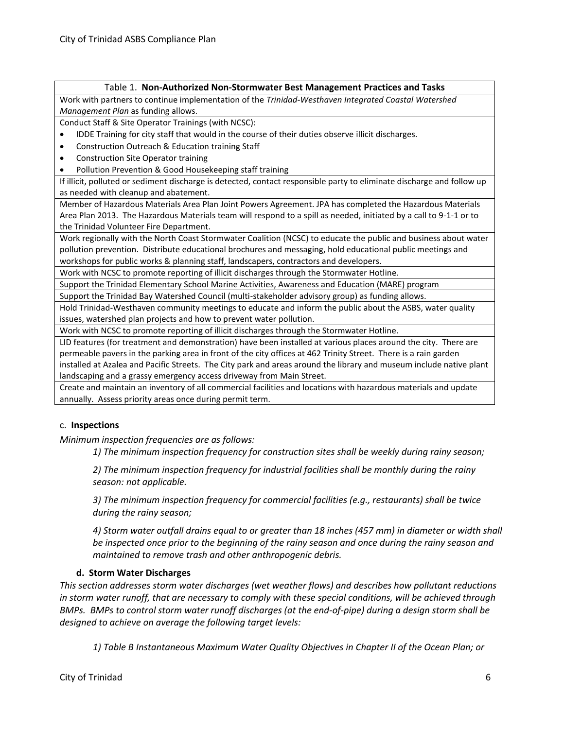#### Table 1. **Non-Authorized Non-Stormwater Best Management Practices and Tasks**

Work with partners to continue implementation of the *Trinidad-Westhaven Integrated Coastal Watershed Management Plan* as funding allows.

Conduct Staff & Site Operator Trainings (with NCSC):

- IDDE Training for city staff that would in the course of their duties observe illicit discharges.
- Construction Outreach & Education training Staff
- Construction Site Operator training
- Pollution Prevention & Good Housekeeping staff training

If illicit, polluted or sediment discharge is detected, contact responsible party to eliminate discharge and follow up as needed with cleanup and abatement.

Member of Hazardous Materials Area Plan Joint Powers Agreement. JPA has completed the Hazardous Materials Area Plan 2013. The Hazardous Materials team will respond to a spill as needed, initiated by a call to 9-1-1 or to the Trinidad Volunteer Fire Department.

Work regionally with the North Coast Stormwater Coalition (NCSC) to educate the public and business about water pollution prevention. Distribute educational brochures and messaging, hold educational public meetings and workshops for public works & planning staff, landscapers, contractors and developers.

Work with NCSC to promote reporting of illicit discharges through the Stormwater Hotline.

Support the Trinidad Elementary School Marine Activities, Awareness and Education (MARE) program

Support the Trinidad Bay Watershed Council (multi-stakeholder advisory group) as funding allows.

Hold Trinidad-Westhaven community meetings to educate and inform the public about the ASBS, water quality issues, watershed plan projects and how to prevent water pollution.

Work with NCSC to promote reporting of illicit discharges through the Stormwater Hotline.

LID features (for treatment and demonstration) have been installed at various places around the city. There are permeable pavers in the parking area in front of the city offices at 462 Trinity Street. There is a rain garden installed at Azalea and Pacific Streets. The City park and areas around the library and museum include native plant landscaping and a grassy emergency access driveway from Main Street.

Create and maintain an inventory of all commercial facilities and locations with hazardous materials and update annually. Assess priority areas once during permit term.

#### c. **Inspections**

*Minimum inspection frequencies are as follows:* 

*1) The minimum inspection frequency for construction sites shall be weekly during rainy season;* 

*2) The minimum inspection frequency for industrial facilities shall be monthly during the rainy season: not applicable.*

*3) The minimum inspection frequency for commercial facilities (e.g., restaurants) shall be twice during the rainy season;* 

*4) Storm water outfall drains equal to or greater than 18 inches (457 mm) in diameter or width shall be inspected once prior to the beginning of the rainy season and once during the rainy season and maintained to remove trash and other anthropogenic debris.* 

#### **d. Storm Water Discharges**

*This section addresses storm water discharges (wet weather flows) and describes how pollutant reductions in storm water runoff, that are necessary to comply with these special conditions, will be achieved through BMPs. BMPs to control storm water runoff discharges (at the end-of-pipe) during a design storm shall be designed to achieve on average the following target levels:* 

*1) Table B Instantaneous Maximum Water Quality Objectives in Chapter II of the Ocean Plan; or*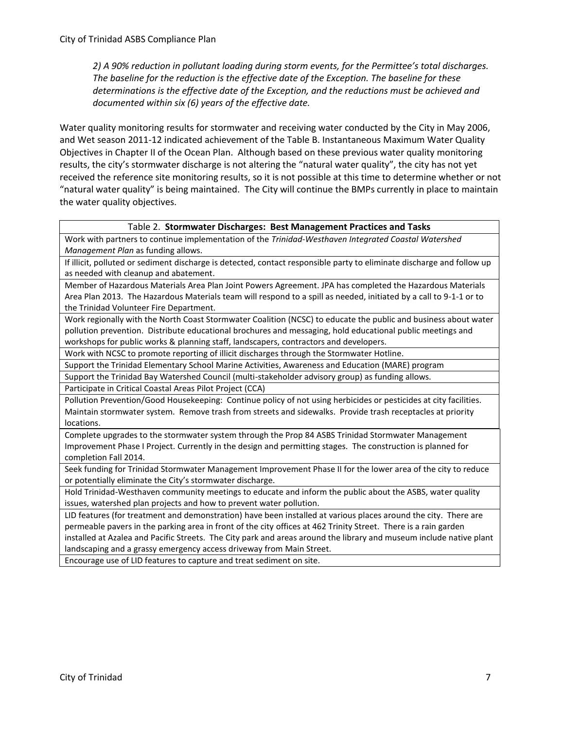*2) A 90% reduction in pollutant loading during storm events, for the Permittee's total discharges. The baseline for the reduction is the effective date of the Exception. The baseline for these determinations is the effective date of the Exception, and the reductions must be achieved and documented within six (6) years of the effective date.*

Water quality monitoring results for stormwater and receiving water conducted by the City in May 2006, and Wet season 2011-12 indicated achievement of the Table B. Instantaneous Maximum Water Quality Objectives in Chapter II of the Ocean Plan. Although based on these previous water quality monitoring results, the city's stormwater discharge is not altering the "natural water quality", the city has not yet received the reference site monitoring results, so it is not possible at this time to determine whether or not "natural water quality" is being maintained. The City will continue the BMPs currently in place to maintain the water quality objectives.

#### Table 2. **Stormwater Discharges: Best Management Practices and Tasks**

Work with partners to continue implementation of the *Trinidad-Westhaven Integrated Coastal Watershed Management Plan* as funding allows.

If illicit, polluted or sediment discharge is detected, contact responsible party to eliminate discharge and follow up as needed with cleanup and abatement.

Member of Hazardous Materials Area Plan Joint Powers Agreement. JPA has completed the Hazardous Materials Area Plan 2013. The Hazardous Materials team will respond to a spill as needed, initiated by a call to 9-1-1 or to the Trinidad Volunteer Fire Department.

Work regionally with the North Coast Stormwater Coalition (NCSC) to educate the public and business about water pollution prevention. Distribute educational brochures and messaging, hold educational public meetings and workshops for public works & planning staff, landscapers, contractors and developers.

Work with NCSC to promote reporting of illicit discharges through the Stormwater Hotline.

Support the Trinidad Elementary School Marine Activities, Awareness and Education (MARE) program

Support the Trinidad Bay Watershed Council (multi-stakeholder advisory group) as funding allows.

Participate in Critical Coastal Areas Pilot Project (CCA)

Pollution Prevention/Good Housekeeping: Continue policy of not using herbicides or pesticides at city facilities. Maintain stormwater system. Remove trash from streets and sidewalks. Provide trash receptacles at priority locations.

Complete upgrades to the stormwater system through the Prop 84 ASBS Trinidad Stormwater Management Improvement Phase I Project. Currently in the design and permitting stages. The construction is planned for completion Fall 2014.

Seek funding for Trinidad Stormwater Management Improvement Phase II for the lower area of the city to reduce or potentially eliminate the City's stormwater discharge.

Hold Trinidad-Westhaven community meetings to educate and inform the public about the ASBS, water quality issues, watershed plan projects and how to prevent water pollution.

LID features (for treatment and demonstration) have been installed at various places around the city. There are permeable pavers in the parking area in front of the city offices at 462 Trinity Street. There is a rain garden installed at Azalea and Pacific Streets. The City park and areas around the library and museum include native plant landscaping and a grassy emergency access driveway from Main Street.

Encourage use of LID features to capture and treat sediment on site.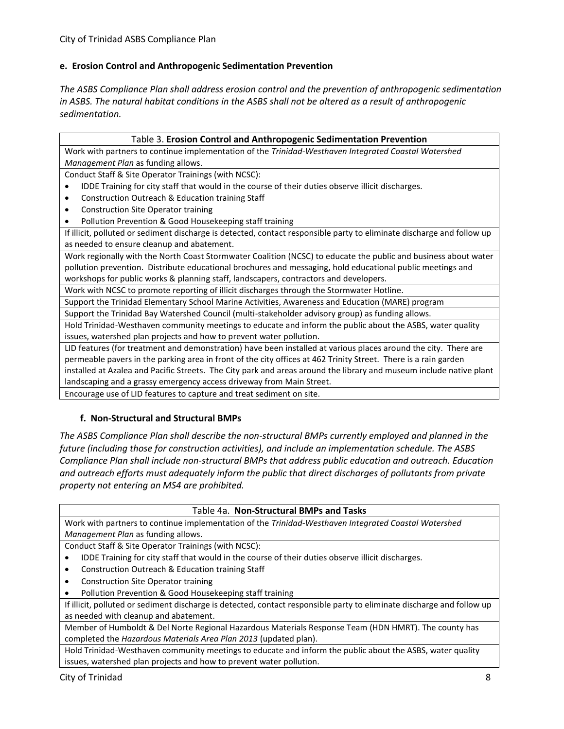## **e. Erosion Control and Anthropogenic Sedimentation Prevention**

*The ASBS Compliance Plan shall address erosion control and the prevention of anthropogenic sedimentation in ASBS. The natural habitat conditions in the ASBS shall not be altered as a result of anthropogenic sedimentation.* 

| Table 3. Erosion Control and Anthropogenic Sedimentation Prevention                                                    |  |  |  |  |
|------------------------------------------------------------------------------------------------------------------------|--|--|--|--|
| Work with partners to continue implementation of the Trinidad-Westhaven Integrated Coastal Watershed                   |  |  |  |  |
| Management Plan as funding allows.                                                                                     |  |  |  |  |
| Conduct Staff & Site Operator Trainings (with NCSC):                                                                   |  |  |  |  |
| IDDE Training for city staff that would in the course of their duties observe illicit discharges.                      |  |  |  |  |
| Construction Outreach & Education training Staff                                                                       |  |  |  |  |
| <b>Construction Site Operator training</b>                                                                             |  |  |  |  |
| Pollution Prevention & Good Housekeeping staff training                                                                |  |  |  |  |
| If illicit, polluted or sediment discharge is detected, contact responsible party to eliminate discharge and follow up |  |  |  |  |
| as needed to ensure cleanup and abatement.                                                                             |  |  |  |  |
| Work regionally with the North Coast Stormwater Coalition (NCSC) to educate the public and business about water        |  |  |  |  |
| pollution prevention. Distribute educational brochures and messaging, hold educational public meetings and             |  |  |  |  |
| workshops for public works & planning staff, landscapers, contractors and developers.                                  |  |  |  |  |
| Work with NCSC to promote reporting of illicit discharges through the Stormwater Hotline.                              |  |  |  |  |
| Support the Trinidad Elementary School Marine Activities, Awareness and Education (MARE) program                       |  |  |  |  |
| Support the Trinidad Bay Watershed Council (multi-stakeholder advisory group) as funding allows.                       |  |  |  |  |
| Hold Trinidad-Westhaven community meetings to educate and inform the public about the ASBS, water quality              |  |  |  |  |
| issues, watershed plan projects and how to prevent water pollution.                                                    |  |  |  |  |
| LID footures (for treatment and demonstration) have been installed at various places around the sity. There are        |  |  |  |  |

LID features (for treatment and demonstration) have been installed at various places around the city. There are permeable pavers in the parking area in front of the city offices at 462 Trinity Street. There is a rain garden installed at Azalea and Pacific Streets. The City park and areas around the library and museum include native plant landscaping and a grassy emergency access driveway from Main Street.

Encourage use of LID features to capture and treat sediment on site.

#### **f. Non-Structural and Structural BMPs**

*The ASBS Compliance Plan shall describe the non-structural BMPs currently employed and planned in the future (including those for construction activities), and include an implementation schedule. The ASBS Compliance Plan shall include non-structural BMPs that address public education and outreach. Education and outreach efforts must adequately inform the public that direct discharges of pollutants from private property not entering an MS4 are prohibited.* 

#### Table 4a. **Non-Structural BMPs and Tasks**

Work with partners to continue implementation of the *Trinidad-Westhaven Integrated Coastal Watershed Management Plan* as funding allows.

Conduct Staff & Site Operator Trainings (with NCSC):

- IDDE Training for city staff that would in the course of their duties observe illicit discharges.
- Construction Outreach & Education training Staff
- Construction Site Operator training

Pollution Prevention & Good Housekeeping staff training

If illicit, polluted or sediment discharge is detected, contact responsible party to eliminate discharge and follow up as needed with cleanup and abatement.

Member of Humboldt & Del Norte Regional Hazardous Materials Response Team (HDN HMRT). The county has completed the *Hazardous Materials Area Plan 2013* (updated plan).

Hold Trinidad-Westhaven community meetings to educate and inform the public about the ASBS, water quality issues, watershed plan projects and how to prevent water pollution.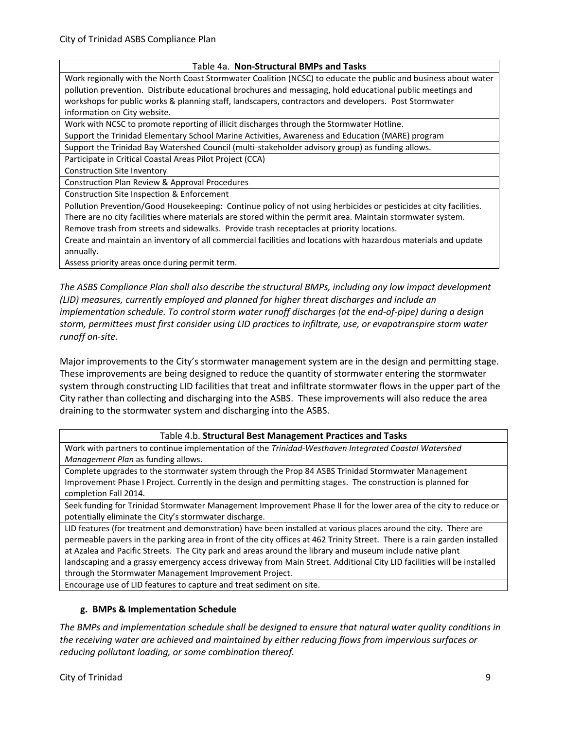#### Table 4a. **Non-Structural BMPs and Tasks**

Work regionally with the North Coast Stormwater Coalition (NCSC) to educate the public and business about water pollution prevention. Distribute educational brochures and messaging, hold educational public meetings and workshops for public works & planning staff, landscapers, contractors and developers. Post Stormwater information on City website.

Work with NCSC to promote reporting of illicit discharges through the Stormwater Hotline.

Support the Trinidad Elementary School Marine Activities, Awareness and Education (MARE) program

Support the Trinidad Bay Watershed Council (multi-stakeholder advisory group) as funding allows.

Participate in Critical Coastal Areas Pilot Project (CCA)

Construction Site Inventory

Construction Plan Review & Approval Procedures

Construction Site Inspection & Enforcement

Pollution Prevention/Good Housekeeping: Continue policy of not using herbicides or pesticides at city facilities. There are no city facilities where materials are stored within the permit area. Maintain stormwater system. Remove trash from streets and sidewalks. Provide trash receptacles at priority locations.

Create and maintain an inventory of all commercial facilities and locations with hazardous materials and update annually.

Assess priority areas once during permit term.

*The ASBS Compliance Plan shall also describe the structural BMPs, including any low impact development (LID) measures, currently employed and planned for higher threat discharges and include an implementation schedule. To control storm water runoff discharges (at the end-of-pipe) during a design storm, permittees must first consider using LID practices to infiltrate, use, or evapotranspire storm water runoff on-site.*

Major improvements to the City's stormwater management system are in the design and permitting stage. These improvements are being designed to reduce the quantity of stormwater entering the stormwater system through constructing LID facilities that treat and infiltrate stormwater flows in the upper part of the City rather than collecting and discharging into the ASBS. These improvements will also reduce the area draining to the stormwater system and discharging into the ASBS.

#### Table 4.b. **Structural Best Management Practices and Tasks**

Work with partners to continue implementation of the *Trinidad-Westhaven Integrated Coastal Watershed Management Plan* as funding allows.

Complete upgrades to the stormwater system through the Prop 84 ASBS Trinidad Stormwater Management Improvement Phase I Project. Currently in the design and permitting stages. The construction is planned for completion Fall 2014.

Seek funding for Trinidad Stormwater Management Improvement Phase II for the lower area of the city to reduce or potentially eliminate the City's stormwater discharge.

LID features (for treatment and demonstration) have been installed at various places around the city. There are permeable pavers in the parking area in front of the city offices at 462 Trinity Street. There is a rain garden installed at Azalea and Pacific Streets. The City park and areas around the library and museum include native plant landscaping and a grassy emergency access driveway from Main Street. Additional City LID facilities will be installed through the Stormwater Management Improvement Project.

Encourage use of LID features to capture and treat sediment on site.

#### **g. BMPs & Implementation Schedule**

*The BMPs and implementation schedule shall be designed to ensure that natural water quality conditions in the receiving water are achieved and maintained by either reducing flows from impervious surfaces or reducing pollutant loading, or some combination thereof.*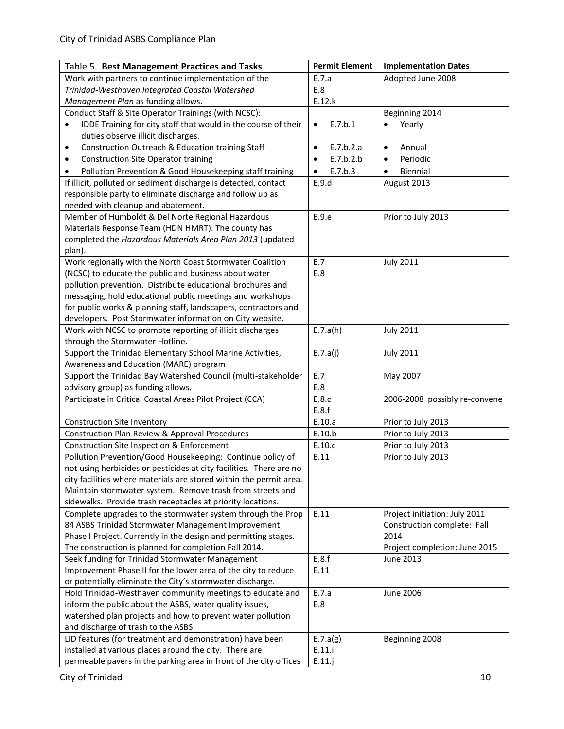| Table 5. Best Management Practices and Tasks                                                             | <b>Permit Element</b>  | <b>Implementation Dates</b>                |
|----------------------------------------------------------------------------------------------------------|------------------------|--------------------------------------------|
| Work with partners to continue implementation of the                                                     | E.7.a                  | Adopted June 2008                          |
| Trinidad-Westhaven Integrated Coastal Watershed                                                          | E.8                    |                                            |
| Management Plan as funding allows.                                                                       | E.12.k                 |                                            |
| Conduct Staff & Site Operator Trainings (with NCSC):                                                     |                        | Beginning 2014                             |
| IDDE Training for city staff that would in the course of their                                           | E.7.b.1<br>$\bullet$   | Yearly                                     |
| duties observe illicit discharges.                                                                       |                        |                                            |
| Construction Outreach & Education training Staff<br>٠                                                    | E.7.b.2.a<br>$\bullet$ | Annual<br>٠                                |
| <b>Construction Site Operator training</b><br>$\bullet$                                                  | E.7.b.2.b<br>$\bullet$ | Periodic<br>$\bullet$                      |
| Pollution Prevention & Good Housekeeping staff training                                                  | E.7.b.3<br>$\bullet$   | Biennial                                   |
| If illicit, polluted or sediment discharge is detected, contact                                          | E.9.d                  | August 2013                                |
| responsible party to eliminate discharge and follow up as                                                |                        |                                            |
| needed with cleanup and abatement.                                                                       |                        |                                            |
| Member of Humboldt & Del Norte Regional Hazardous                                                        | E.9.e                  | Prior to July 2013                         |
| Materials Response Team (HDN HMRT). The county has                                                       |                        |                                            |
| completed the Hazardous Materials Area Plan 2013 (updated                                                |                        |                                            |
| plan).<br>Work regionally with the North Coast Stormwater Coalition                                      | E.7                    | <b>July 2011</b>                           |
| (NCSC) to educate the public and business about water                                                    | E.8                    |                                            |
| pollution prevention. Distribute educational brochures and                                               |                        |                                            |
| messaging, hold educational public meetings and workshops                                                |                        |                                            |
| for public works & planning staff, landscapers, contractors and                                          |                        |                                            |
| developers. Post Stormwater information on City website.                                                 |                        |                                            |
| Work with NCSC to promote reporting of illicit discharges                                                | E.7.a(h)               | <b>July 2011</b>                           |
| through the Stormwater Hotline.                                                                          |                        |                                            |
| Support the Trinidad Elementary School Marine Activities,                                                | E.7.a(j)               | <b>July 2011</b>                           |
| Awareness and Education (MARE) program                                                                   |                        |                                            |
| Support the Trinidad Bay Watershed Council (multi-stakeholder                                            | E.7                    | May 2007                                   |
| advisory group) as funding allows.                                                                       | E.8                    |                                            |
| Participate in Critical Coastal Areas Pilot Project (CCA)                                                | E.8.c                  | 2006-2008 possibly re-convene              |
|                                                                                                          | E.8.f                  |                                            |
| <b>Construction Site Inventory</b>                                                                       | E.10.a                 | Prior to July 2013                         |
| Construction Plan Review & Approval Procedures                                                           | E.10.b                 | Prior to July 2013                         |
| Construction Site Inspection & Enforcement                                                               | E.10.c                 | Prior to July 2013                         |
| Pollution Prevention/Good Housekeeping: Continue policy of                                               | E.11                   | Prior to July 2013                         |
| not using herbicides or pesticides at city facilities. There are no                                      |                        |                                            |
| city facilities where materials are stored within the permit area.                                       |                        |                                            |
| Maintain stormwater system. Remove trash from streets and                                                |                        |                                            |
| sidewalks. Provide trash receptacles at priority locations.                                              |                        |                                            |
| Complete upgrades to the stormwater system through the Prop                                              | E.11                   | Project initiation: July 2011              |
| 84 ASBS Trinidad Stormwater Management Improvement                                                       |                        | Construction complete: Fall                |
| Phase I Project. Currently in the design and permitting stages.                                          |                        | 2014                                       |
| The construction is planned for completion Fall 2014.<br>Seek funding for Trinidad Stormwater Management | E.8.f                  | Project completion: June 2015<br>June 2013 |
| Improvement Phase II for the lower area of the city to reduce                                            | E.11                   |                                            |
| or potentially eliminate the City's stormwater discharge.                                                |                        |                                            |
| Hold Trinidad-Westhaven community meetings to educate and                                                | E.7.a                  | <b>June 2006</b>                           |
| inform the public about the ASBS, water quality issues,                                                  | E.8                    |                                            |
| watershed plan projects and how to prevent water pollution                                               |                        |                                            |
| and discharge of trash to the ASBS.                                                                      |                        |                                            |
| LID features (for treatment and demonstration) have been                                                 | E.7.a(g)               | Beginning 2008                             |
| installed at various places around the city. There are                                                   | E.11.i                 |                                            |
| permeable pavers in the parking area in front of the city offices                                        | E.11.j                 |                                            |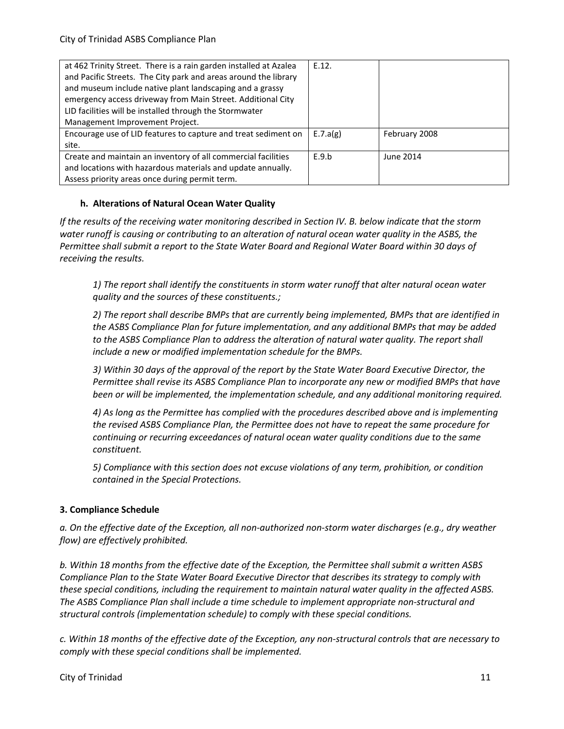| at 462 Trinity Street. There is a rain garden installed at Azalea | E.12.    |               |
|-------------------------------------------------------------------|----------|---------------|
| and Pacific Streets. The City park and areas around the library   |          |               |
| and museum include native plant landscaping and a grassy          |          |               |
| emergency access driveway from Main Street. Additional City       |          |               |
| LID facilities will be installed through the Stormwater           |          |               |
| Management Improvement Project.                                   |          |               |
| Encourage use of LID features to capture and treat sediment on    | E.7.a(g) | February 2008 |
| site.                                                             |          |               |
| Create and maintain an inventory of all commercial facilities     | E.9.b    | June 2014     |
| and locations with hazardous materials and update annually.       |          |               |
| Assess priority areas once during permit term.                    |          |               |

#### **h. Alterations of Natural Ocean Water Quality**

*If the results of the receiving water monitoring described in Section IV. B. below indicate that the storm water runoff is causing or contributing to an alteration of natural ocean water quality in the ASBS, the Permittee shall submit a report to the State Water Board and Regional Water Board within 30 days of receiving the results.* 

*1) The report shall identify the constituents in storm water runoff that alter natural ocean water quality and the sources of these constituents.;* 

*2) The report shall describe BMPs that are currently being implemented, BMPs that are identified in the ASBS Compliance Plan for future implementation, and any additional BMPs that may be added to the ASBS Compliance Plan to address the alteration of natural water quality. The report shall include a new or modified implementation schedule for the BMPs.* 

*3) Within 30 days of the approval of the report by the State Water Board Executive Director, the Permittee shall revise its ASBS Compliance Plan to incorporate any new or modified BMPs that have been or will be implemented, the implementation schedule, and any additional monitoring required.* 

*4) As long as the Permittee has complied with the procedures described above and is implementing the revised ASBS Compliance Plan, the Permittee does not have to repeat the same procedure for continuing or recurring exceedances of natural ocean water quality conditions due to the same constituent.* 

*5) Compliance with this section does not excuse violations of any term, prohibition, or condition contained in the Special Protections.*

## **3. Compliance Schedule**

*a. On the effective date of the Exception, all non-authorized non-storm water discharges (e.g., dry weather flow) are effectively prohibited.* 

*b. Within 18 months from the effective date of the Exception, the Permittee shall submit a written ASBS Compliance Plan to the State Water Board Executive Director that describes its strategy to comply with these special conditions, including the requirement to maintain natural water quality in the affected ASBS. The ASBS Compliance Plan shall include a time schedule to implement appropriate non-structural and structural controls (implementation schedule) to comply with these special conditions.* 

*c. Within 18 months of the effective date of the Exception, any non-structural controls that are necessary to comply with these special conditions shall be implemented.*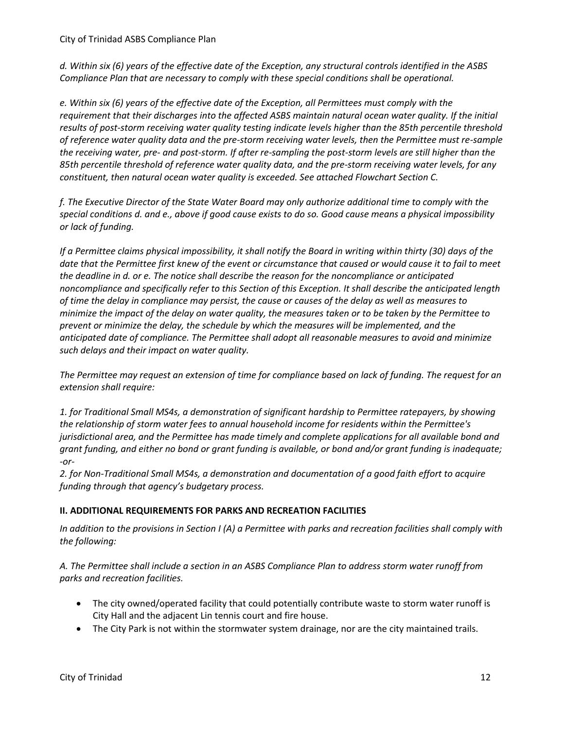*d. Within six (6) years of the effective date of the Exception, any structural controls identified in the ASBS Compliance Plan that are necessary to comply with these special conditions shall be operational.* 

*e. Within six (6) years of the effective date of the Exception, all Permittees must comply with the requirement that their discharges into the affected ASBS maintain natural ocean water quality. If the initial results of post-storm receiving water quality testing indicate levels higher than the 85th percentile threshold of reference water quality data and the pre-storm receiving water levels, then the Permittee must re-sample the receiving water, pre- and post-storm. If after re-sampling the post-storm levels are still higher than the 85th percentile threshold of reference water quality data, and the pre-storm receiving water levels, for any constituent, then natural ocean water quality is exceeded. See attached Flowchart Section C.* 

*f. The Executive Director of the State Water Board may only authorize additional time to comply with the special conditions d. and e., above if good cause exists to do so. Good cause means a physical impossibility or lack of funding.* 

*If a Permittee claims physical impossibility, it shall notify the Board in writing within thirty (30) days of the date that the Permittee first knew of the event or circumstance that caused or would cause it to fail to meet the deadline in d. or e. The notice shall describe the reason for the noncompliance or anticipated noncompliance and specifically refer to this Section of this Exception. It shall describe the anticipated length of time the delay in compliance may persist, the cause or causes of the delay as well as measures to minimize the impact of the delay on water quality, the measures taken or to be taken by the Permittee to prevent or minimize the delay, the schedule by which the measures will be implemented, and the anticipated date of compliance. The Permittee shall adopt all reasonable measures to avoid and minimize such delays and their impact on water quality.* 

*The Permittee may request an extension of time for compliance based on lack of funding. The request for an extension shall require:* 

*1. for Traditional Small MS4s, a demonstration of significant hardship to Permittee ratepayers, by showing the relationship of storm water fees to annual household income for residents within the Permittee's jurisdictional area, and the Permittee has made timely and complete applications for all available bond and grant funding, and either no bond or grant funding is available, or bond and/or grant funding is inadequate; -or-*

*2. for Non-Traditional Small MS4s, a demonstration and documentation of a good faith effort to acquire funding through that agency's budgetary process.* 

## **II. ADDITIONAL REQUIREMENTS FOR PARKS AND RECREATION FACILITIES**

*In addition to the provisions in Section I (A) a Permittee with parks and recreation facilities shall comply with the following:* 

*A. The Permittee shall include a section in an ASBS Compliance Plan to address storm water runoff from parks and recreation facilities.*

- The city owned/operated facility that could potentially contribute waste to storm water runoff is City Hall and the adjacent Lin tennis court and fire house.
- The City Park is not within the stormwater system drainage, nor are the city maintained trails.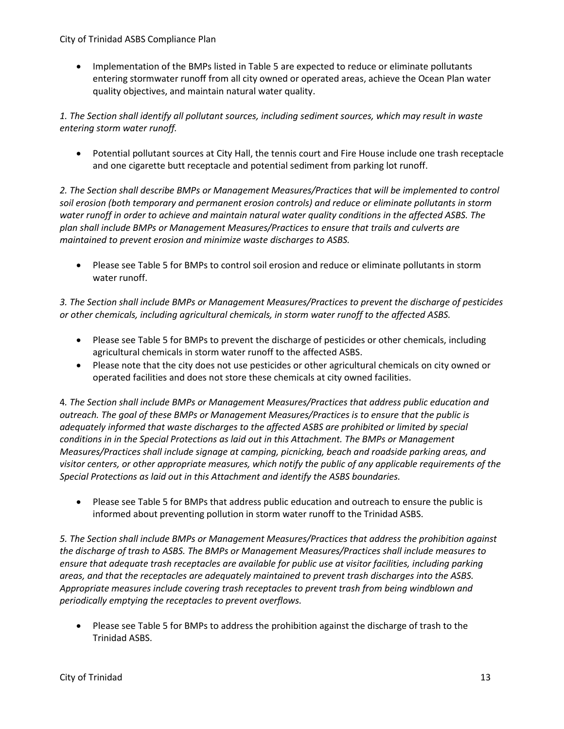City of Trinidad ASBS Compliance Plan

 Implementation of the BMPs listed in Table 5 are expected to reduce or eliminate pollutants entering stormwater runoff from all city owned or operated areas, achieve the Ocean Plan water quality objectives, and maintain natural water quality.

*1. The Section shall identify all pollutant sources, including sediment sources, which may result in waste entering storm water runoff.* 

 Potential pollutant sources at City Hall, the tennis court and Fire House include one trash receptacle and one cigarette butt receptacle and potential sediment from parking lot runoff.

*2. The Section shall describe BMPs or Management Measures/Practices that will be implemented to control soil erosion (both temporary and permanent erosion controls) and reduce or eliminate pollutants in storm water runoff in order to achieve and maintain natural water quality conditions in the affected ASBS. The plan shall include BMPs or Management Measures/Practices to ensure that trails and culverts are maintained to prevent erosion and minimize waste discharges to ASBS.* 

 Please see Table 5 for BMPs to control soil erosion and reduce or eliminate pollutants in storm water runoff.

*3. The Section shall include BMPs or Management Measures/Practices to prevent the discharge of pesticides or other chemicals, including agricultural chemicals, in storm water runoff to the affected ASBS.* 

- Please see Table 5 for BMPs to prevent the discharge of pesticides or other chemicals, including agricultural chemicals in storm water runoff to the affected ASBS.
- Please note that the city does not use pesticides or other agricultural chemicals on city owned or operated facilities and does not store these chemicals at city owned facilities.

4*. The Section shall include BMPs or Management Measures/Practices that address public education and outreach. The goal of these BMPs or Management Measures/Practices is to ensure that the public is adequately informed that waste discharges to the affected ASBS are prohibited or limited by special conditions in in the Special Protections as laid out in this Attachment. The BMPs or Management Measures/Practices shall include signage at camping, picnicking, beach and roadside parking areas, and visitor centers, or other appropriate measures, which notify the public of any applicable requirements of the Special Protections as laid out in this Attachment and identify the ASBS boundaries.*

 Please see Table 5 for BMPs that address public education and outreach to ensure the public is informed about preventing pollution in storm water runoff to the Trinidad ASBS.

*5. The Section shall include BMPs or Management Measures/Practices that address the prohibition against the discharge of trash to ASBS. The BMPs or Management Measures/Practices shall include measures to ensure that adequate trash receptacles are available for public use at visitor facilities, including parking areas, and that the receptacles are adequately maintained to prevent trash discharges into the ASBS. Appropriate measures include covering trash receptacles to prevent trash from being windblown and periodically emptying the receptacles to prevent overflows.* 

 Please see Table 5 for BMPs to address the prohibition against the discharge of trash to the Trinidad ASBS.